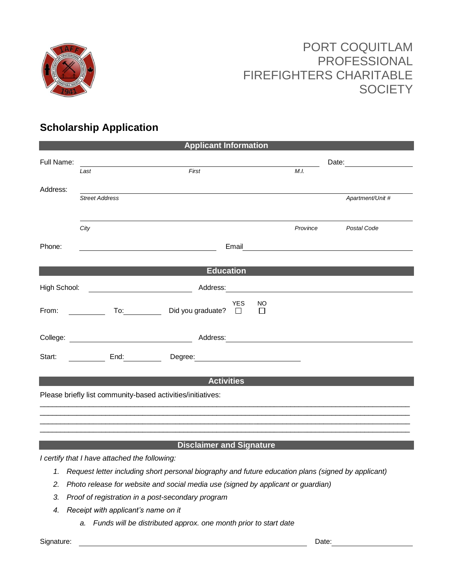

## PORT COQUITLAM PROFESSIONAL FIREFIGHTERS CHARITABLE **SOCIETY**

### **Scholarship Application**

| <b>Applicant Information</b>                                                                                                                                                                                                                                                                                                                                                                                  |                       |                                                                                                                                                                                                                                |                                                                                                                                                                                                                                      |                                 |  |  |
|---------------------------------------------------------------------------------------------------------------------------------------------------------------------------------------------------------------------------------------------------------------------------------------------------------------------------------------------------------------------------------------------------------------|-----------------------|--------------------------------------------------------------------------------------------------------------------------------------------------------------------------------------------------------------------------------|--------------------------------------------------------------------------------------------------------------------------------------------------------------------------------------------------------------------------------------|---------------------------------|--|--|
| Full Name:                                                                                                                                                                                                                                                                                                                                                                                                    | Last                  | First                                                                                                                                                                                                                          | M.I.                                                                                                                                                                                                                                 | Date: <u>__________________</u> |  |  |
| Address:                                                                                                                                                                                                                                                                                                                                                                                                      |                       |                                                                                                                                                                                                                                |                                                                                                                                                                                                                                      |                                 |  |  |
|                                                                                                                                                                                                                                                                                                                                                                                                               | <b>Street Address</b> |                                                                                                                                                                                                                                |                                                                                                                                                                                                                                      | Apartment/Unit #                |  |  |
|                                                                                                                                                                                                                                                                                                                                                                                                               | City                  |                                                                                                                                                                                                                                | Province                                                                                                                                                                                                                             | Postal Code                     |  |  |
| Phone:                                                                                                                                                                                                                                                                                                                                                                                                        |                       |                                                                                                                                                                                                                                | Email <u>contract and the contract of the contract of the contract of the contract of the contract of the contract of the contract of the contract of the contract of the contract of the contract of the contract of the contra</u> |                                 |  |  |
| <b>Education</b>                                                                                                                                                                                                                                                                                                                                                                                              |                       |                                                                                                                                                                                                                                |                                                                                                                                                                                                                                      |                                 |  |  |
|                                                                                                                                                                                                                                                                                                                                                                                                               |                       |                                                                                                                                                                                                                                |                                                                                                                                                                                                                                      |                                 |  |  |
| From: $\frac{1}{\sqrt{1-\frac{1}{2}}\sqrt{1-\frac{1}{2}}\sqrt{1-\frac{1}{2}}\sqrt{1-\frac{1}{2}}\sqrt{1-\frac{1}{2}}\sqrt{1-\frac{1}{2}}\sqrt{1-\frac{1}{2}}\sqrt{1-\frac{1}{2}}\sqrt{1-\frac{1}{2}}\sqrt{1-\frac{1}{2}}\sqrt{1-\frac{1}{2}}\sqrt{1-\frac{1}{2}}\sqrt{1-\frac{1}{2}}\sqrt{1-\frac{1}{2}}\sqrt{1-\frac{1}{2}}\sqrt{1-\frac{1}{2}}\sqrt{1-\frac{1}{2}}\sqrt{1-\frac{1}{2}}\sqrt{1-\frac{1}{2}}$ |                       | <b>YES</b><br><b>NO</b><br>To: Did you graduate? □<br>$\Box$                                                                                                                                                                   |                                                                                                                                                                                                                                      |                                 |  |  |
|                                                                                                                                                                                                                                                                                                                                                                                                               |                       | College: Address: Address: Address: Address: Address: Address: Address: Address: Address: Address: Address: Address: Address: Address: Address: Address: Address: Address: Address: Address: Address: Address: Address: Addres |                                                                                                                                                                                                                                      |                                 |  |  |
|                                                                                                                                                                                                                                                                                                                                                                                                               |                       | Start: _______________ End: ________________ Degree: ___________________________                                                                                                                                               |                                                                                                                                                                                                                                      |                                 |  |  |
| <b>Activities</b>                                                                                                                                                                                                                                                                                                                                                                                             |                       |                                                                                                                                                                                                                                |                                                                                                                                                                                                                                      |                                 |  |  |
| Please briefly list community-based activities/initiatives:                                                                                                                                                                                                                                                                                                                                                   |                       |                                                                                                                                                                                                                                |                                                                                                                                                                                                                                      |                                 |  |  |
|                                                                                                                                                                                                                                                                                                                                                                                                               |                       |                                                                                                                                                                                                                                |                                                                                                                                                                                                                                      |                                 |  |  |
|                                                                                                                                                                                                                                                                                                                                                                                                               |                       |                                                                                                                                                                                                                                |                                                                                                                                                                                                                                      |                                 |  |  |

#### **Disclaimer and Signature**

*I certify that I have attached the following:*

- *1. Request letter including short personal biography and future education plans (signed by applicant)*
- *2. Photo release for website and social media use (signed by applicant or guardian)*
- *3. Proof of registration in a post-secondary program*
- *4. Receipt with applicant's name on it*
	- *a. Funds will be distributed approx. one month prior to start date*

Signature: Date: Date: Date: Date: Date: Date: Date: Date: Date: Date: Date: Date: Date: Date: Date: Date: Date: Date: Date: Date: Date: Date: Date: Date: Date: Date: Date: Date: Date: Date: Date: Date: Date: Date: Date: D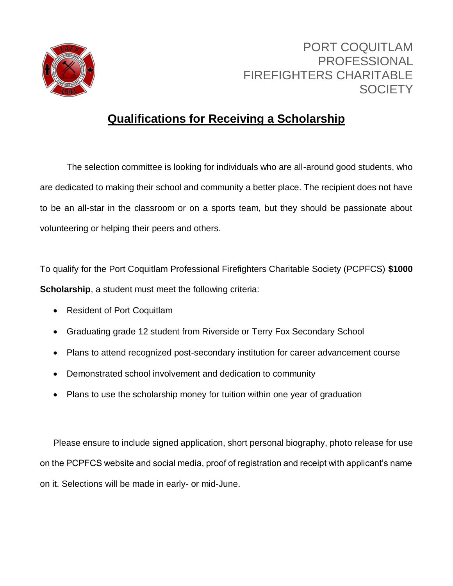

## PORT COQUITLAM PROFESSIONAL FIREFIGHTERS CHARITABLE **SOCIETY**

## **Qualifications for Receiving a Scholarship**

The selection committee is looking for individuals who are all-around good students, who are dedicated to making their school and community a better place. The recipient does not have to be an all-star in the classroom or on a sports team, but they should be passionate about volunteering or helping their peers and others.

To qualify for the Port Coquitlam Professional Firefighters Charitable Society (PCPFCS) **\$1000 Scholarship**, a student must meet the following criteria:

- Resident of Port Coquitlam
- Graduating grade 12 student from Riverside or Terry Fox Secondary School
- Plans to attend recognized post-secondary institution for career advancement course
- Demonstrated school involvement and dedication to community
- Plans to use the scholarship money for tuition within one year of graduation

Please ensure to include signed application, short personal biography, photo release for use on the PCPFCS website and social media, proof of registration and receipt with applicant's name on it. Selections will be made in early- or mid-June.